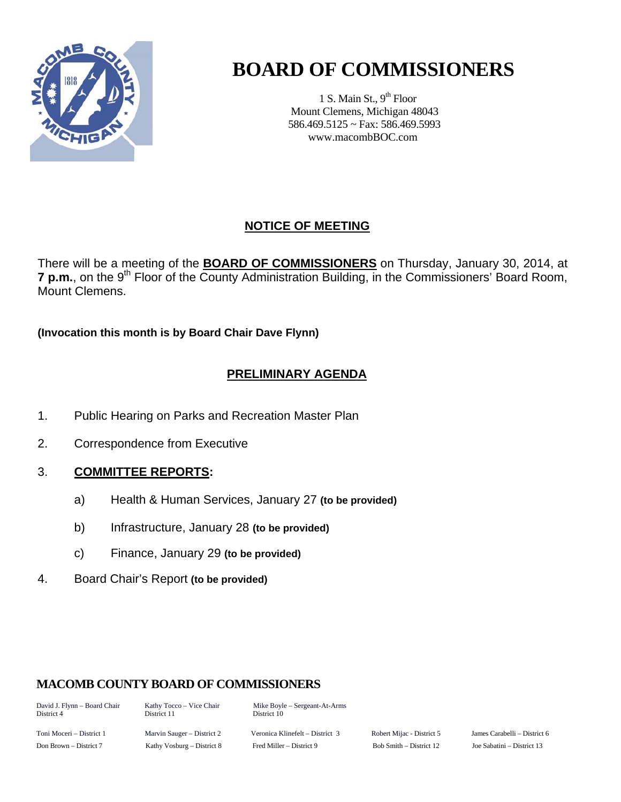

# **BOARD OF COMMISSIONERS**

1 S. Main St.,  $9<sup>th</sup>$  Floor Mount Clemens, Michigan 48043 586.469.5125 ~ Fax: 586.469.5993 www.macombBOC.com

## **NOTICE OF MEETING**

There will be a meeting of the **BOARD OF COMMISSIONERS** on Thursday, January 30, 2014, at 7 p.m., on the 9<sup>th</sup> Floor of the County Administration Building, in the Commissioners' Board Room, Mount Clemens.

**(Invocation this month is by Board Chair Dave Flynn)** 

### **PRELIMINARY AGENDA**

- 1. Public Hearing on Parks and Recreation Master Plan
- 2. Correspondence from Executive

#### 3. **COMMITTEE REPORTS:**

- a) Health & Human Services, January 27 **(to be provided)**
- b) Infrastructure, January 28 **(to be provided)**
- c) Finance, January 29 **(to be provided)**
- 4. Board Chair's Report **(to be provided)**

#### **MACOMB COUNTY BOARD OF COMMISSIONERS**

District 11

David J. Flynn – Board Chair Kathy Tocco – Vice Chair Mike Boyle – Sergeant-At-Arms<br>District 4 District 11 District 10

Toni Moceri – District 1 Marvin Sauger – District 2 Veronica Klinefelt – District 3 Robert Mijac - District 5 James Carabelli – District 6 Don Brown – District 7 Kathy Vosburg – District 8 Fred Miller – District 9 Bob Smith – District 12 Joe Sabatini – District 13